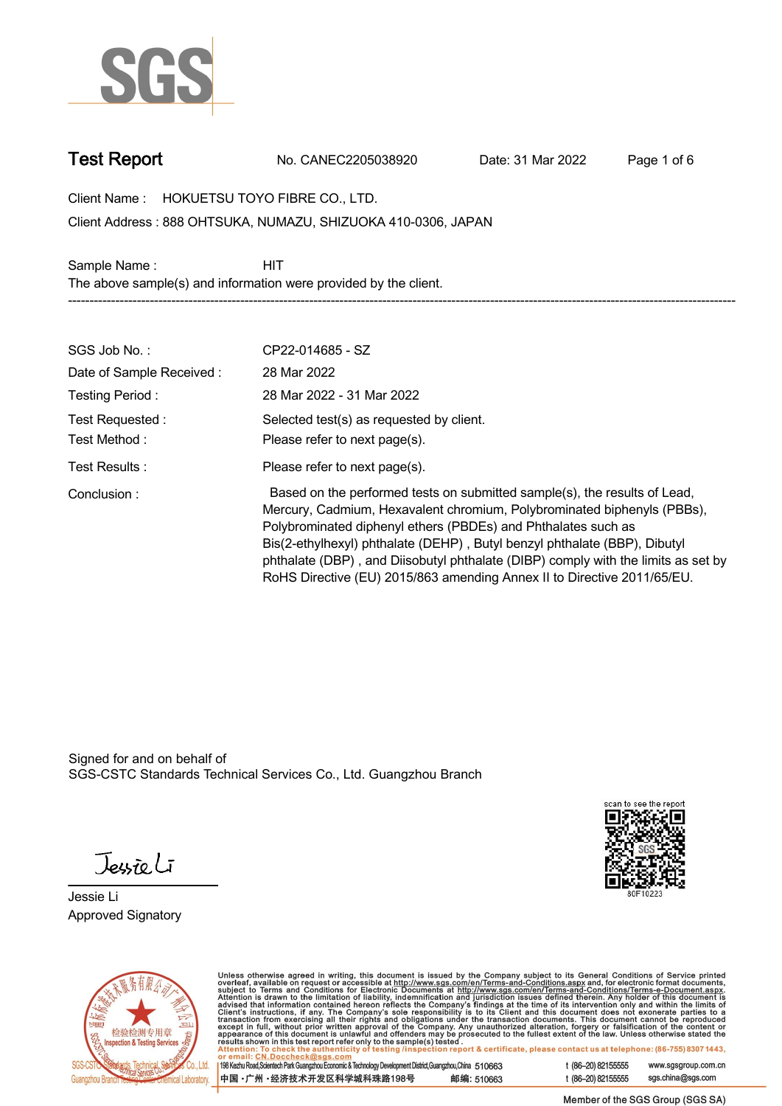

**Test Report. No. CANEC2205038920 . Date: 31 Mar 2022 . Page 1 of 6.**

**Client Name : HOKUETSU TOYO FIBRE CO., LTD. .**

**888 OHTSUKA, NUMAZU, SHIZUOKA 410-0306, JAPAN . Client Address :**

Sample Name : **HIT The above sample(s) and information were provided by the client. -----------------------------------------------------------------------------------------------------------------------------------------------------------**

| SGS Job No.:             | CP22-014685 - SZ                                                                                                                                                                                                                                                                                                                                                                                                                                                   |
|--------------------------|--------------------------------------------------------------------------------------------------------------------------------------------------------------------------------------------------------------------------------------------------------------------------------------------------------------------------------------------------------------------------------------------------------------------------------------------------------------------|
| Date of Sample Received: | 28 Mar 2022                                                                                                                                                                                                                                                                                                                                                                                                                                                        |
| Testing Period:          | 28 Mar 2022 - 31 Mar 2022                                                                                                                                                                                                                                                                                                                                                                                                                                          |
| Test Requested :         | Selected test(s) as requested by client.                                                                                                                                                                                                                                                                                                                                                                                                                           |
| Test Method:             | Please refer to next page(s).                                                                                                                                                                                                                                                                                                                                                                                                                                      |
| Test Results :           | Please refer to next page(s).                                                                                                                                                                                                                                                                                                                                                                                                                                      |
| Conclusion:              | Based on the performed tests on submitted sample(s), the results of Lead,<br>Mercury, Cadmium, Hexavalent chromium, Polybrominated biphenyls (PBBs),<br>Polybrominated diphenyl ethers (PBDEs) and Phthalates such as<br>Bis(2-ethylhexyl) phthalate (DEHP), Butyl benzyl phthalate (BBP), Dibutyl<br>phthalate (DBP), and Diisobutyl phthalate (DIBP) comply with the limits as set by<br>RoHS Directive (EU) 2015/863 amending Annex II to Directive 2011/65/EU. |

Signed for and on behalf of SGS-CSTC Standards Technical Services Co., Ltd. Guangzhou Branch.

Jessieli

**Jessie Li. Approved Signatory .**





Unless otherwise agreed in writing, this document is issued by the Company subject to its General Conditions of Service printed<br>overleaf, available on request or accessible at http://www.sgs.com/en/Terms-and-Conditions.as

| 198 Kezhu Road,Scientech Park Guangzhou Economic & Technology Development District,Guangzhou,China 510663 |            |
|-----------------------------------------------------------------------------------------------------------|------------|
| 中国 •广州 •经济技术开发区科学城科珠路198号                                                                                 | 邮编: 510663 |

t (86-20) 82155555 www.sgsgroup.com.cn sgs.china@sgs.com t (86-20) 82155555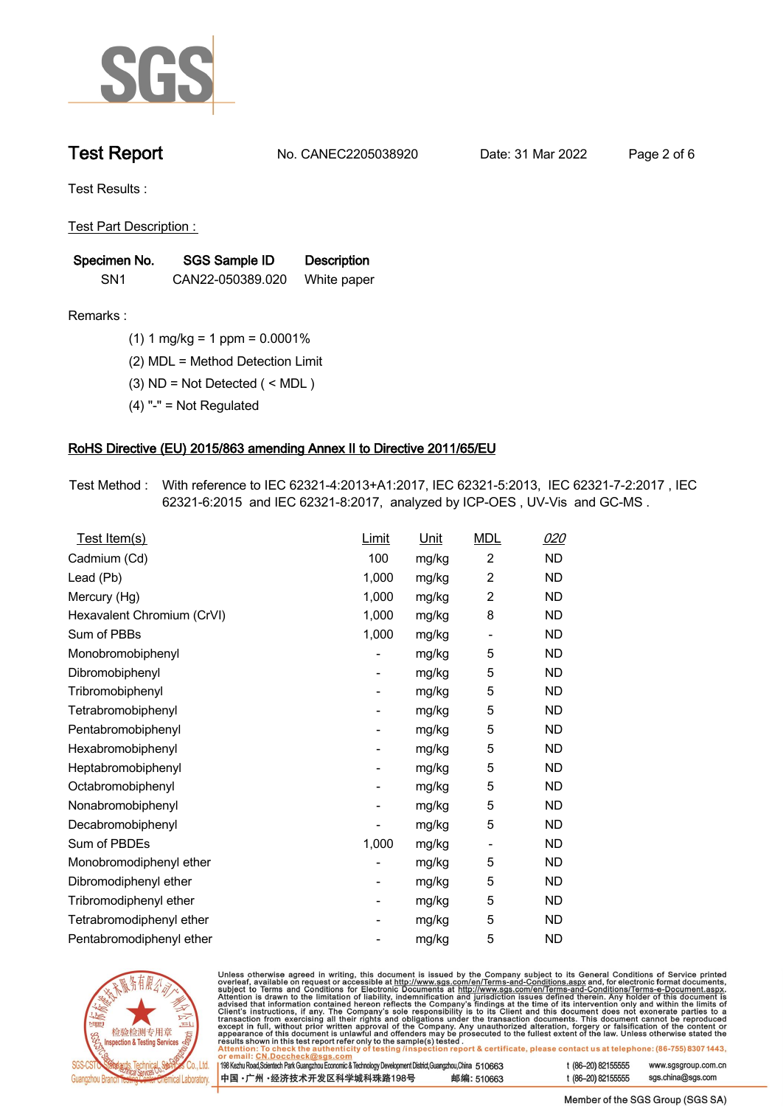

**Test Report. No. CANEC2205038920 . Date: 31 Mar 2022 . Page 2 of 6.**

**Test Results :.**

**Test Part Description : .**

| Specimen No.    | SGS Sample ID    | <b>Description</b> |  |
|-----------------|------------------|--------------------|--|
| SN <sub>1</sub> | CAN22-050389.020 | White paper        |  |

- **Remarks :.(1) 1 mg/kg = 1 ppm = 0.0001% .**
	- **(2) MDL = Method Detection Limit .**
	- **(3) ND = Not Detected ( < MDL ) .**
	- **(4) "-" = Not Regulated .**

## **RoHS Directive (EU) 2015/863 amending Annex II to Directive 2011/65/EU.**

**Test Method :. With reference to IEC 62321-4:2013+A1:2017, IEC 62321-5:2013, IEC 62321-7-2:2017 , IEC 62321-6:2015 and IEC 62321-8:2017, analyzed by ICP-OES , UV-Vis and GC-MS . .**

| Test Item(s)               | Limit                    | <b>Unit</b> | <b>MDL</b>               | <u>020</u> |
|----------------------------|--------------------------|-------------|--------------------------|------------|
| Cadmium (Cd)               | 100                      | mg/kg       | $\overline{2}$           | <b>ND</b>  |
| Lead (Pb)                  | 1,000                    | mg/kg       | $\overline{2}$           | <b>ND</b>  |
| Mercury (Hg)               | 1,000                    | mg/kg       | $\overline{c}$           | <b>ND</b>  |
| Hexavalent Chromium (CrVI) | 1,000                    | mg/kg       | 8                        | <b>ND</b>  |
| Sum of PBBs                | 1,000                    | mg/kg       | -                        | <b>ND</b>  |
| Monobromobiphenyl          |                          | mg/kg       | 5                        | <b>ND</b>  |
| Dibromobiphenyl            | $\overline{\phantom{0}}$ | mg/kg       | 5                        | <b>ND</b>  |
| Tribromobiphenyl           | $\overline{\phantom{0}}$ | mg/kg       | 5                        | <b>ND</b>  |
| Tetrabromobiphenyl         |                          | mg/kg       | 5                        | <b>ND</b>  |
| Pentabromobiphenyl         | -                        | mg/kg       | 5                        | <b>ND</b>  |
| Hexabromobiphenyl          |                          | mg/kg       | 5                        | <b>ND</b>  |
| Heptabromobiphenyl         |                          | mg/kg       | 5                        | <b>ND</b>  |
| Octabromobiphenyl          | -                        | mg/kg       | 5                        | <b>ND</b>  |
| Nonabromobiphenyl          |                          | mg/kg       | 5                        | <b>ND</b>  |
| Decabromobiphenyl          |                          | mg/kg       | 5                        | ND.        |
| Sum of PBDEs               | 1,000                    | mg/kg       | $\overline{\phantom{a}}$ | <b>ND</b>  |
| Monobromodiphenyl ether    |                          | mg/kg       | 5                        | <b>ND</b>  |
| Dibromodiphenyl ether      |                          | mg/kg       | 5                        | <b>ND</b>  |
| Tribromodiphenyl ether     | -                        | mg/kg       | 5                        | <b>ND</b>  |
| Tetrabromodiphenyl ether   |                          | mg/kg       | 5                        | ND.        |
| Pentabromodiphenyl ether   |                          | mg/kg       | 5                        | <b>ND</b>  |



Unless otherwise agreed in writing, this document is issued by the Company subject to its General Conditions of Service printed overleaf, available on request or accessible at http://www.sgs.com/en/Terms-and-Conditions.as

| or email: CN.Doccheck@sgs.com                                                                                |            |                    |                     |
|--------------------------------------------------------------------------------------------------------------|------------|--------------------|---------------------|
| 198 Kezhu Road, Scientech Park Guangzhou Economic & Technology Development District, Guangzhou, China 510663 |            | t (86-20) 82155555 | www.sgsgroup.com.cl |
| ┃中国 •广州 •经济技术开发区科学城科珠路198号 ↓                                                                                 | 邮编: 510663 | t (86-20) 82155555 | sgs.china@sgs.com   |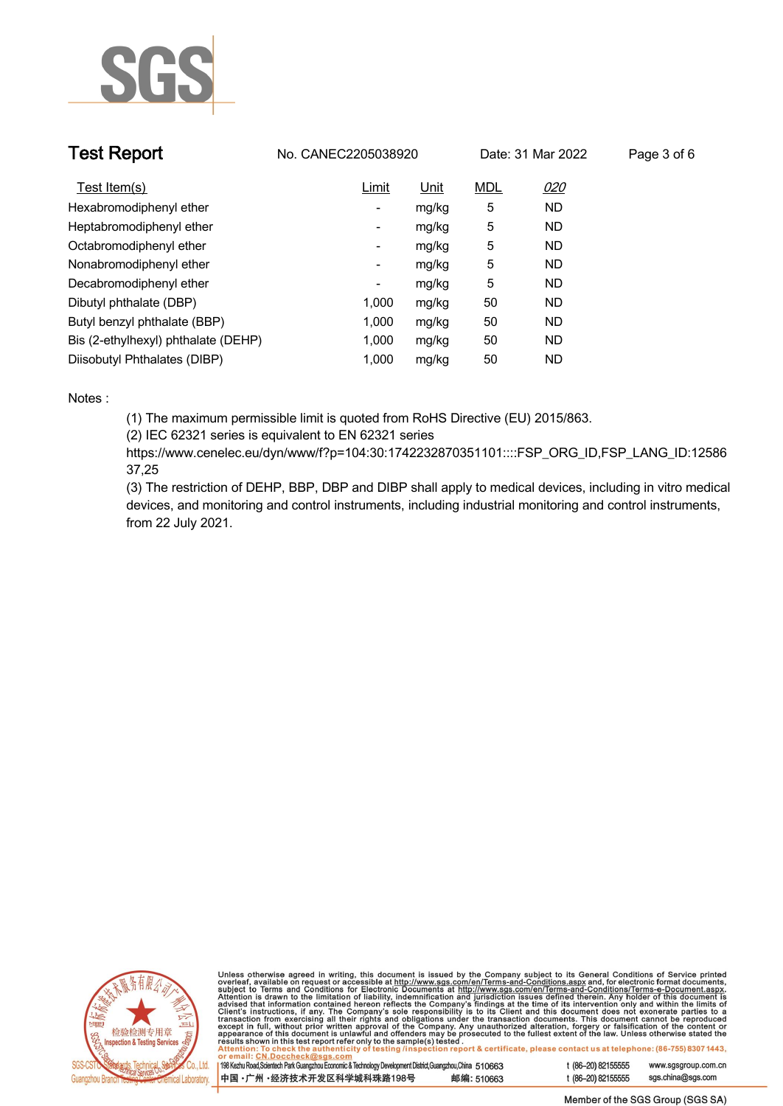

| <b>Test Report</b>                  | No. CANEC2205038920      |       |            | Date: 31 Mar 2022 | Page 3 of 6 |
|-------------------------------------|--------------------------|-------|------------|-------------------|-------------|
| Test Item(s)                        | Limit                    | Unit  | <b>MDL</b> | 020               |             |
| Hexabromodiphenyl ether             | ۰.                       | mg/kg | 5          | <b>ND</b>         |             |
| Heptabromodiphenyl ether            | ٠                        | mg/kg | 5          | <b>ND</b>         |             |
| Octabromodiphenyl ether             | Ξ.                       | mg/kg | 5          | <b>ND</b>         |             |
| Nonabromodiphenyl ether             | Ξ.                       | mg/kg | 5          | <b>ND</b>         |             |
| Decabromodiphenyl ether             | $\overline{\phantom{a}}$ | mg/kg | 5          | <b>ND</b>         |             |
| Dibutyl phthalate (DBP)             | 1.000                    | mg/kg | 50         | <b>ND</b>         |             |
| Butyl benzyl phthalate (BBP)        | 1.000                    | mg/kg | 50         | <b>ND</b>         |             |
| Bis (2-ethylhexyl) phthalate (DEHP) | 1.000                    | mg/kg | 50         | <b>ND</b>         |             |
| Diisobutyl Phthalates (DIBP)        | 1.000                    | mg/kg | 50         | ND                |             |

### **Notes :.**

**(1) The maximum permissible limit is quoted from RoHS Directive (EU) 2015/863.**

**(2) IEC 62321 series is equivalent to EN 62321 series**

**https://www.cenelec.eu/dyn/www/f?p=104:30:1742232870351101::::FSP\_ORG\_ID,FSP\_LANG\_ID:12586 37,25**

**(3) The restriction of DEHP, BBP, DBP and DIBP shall apply to medical devices, including in vitro medical devices, and monitoring and control instruments, including industrial monitoring and control instruments, from 22 July 2021..**



Unless otherwise agreed in writing, this document is issued by the Company subject to its General Conditions of Service printed<br>overleaf, available on request or accessible at http://www.sgs.com/en/Terms-and-Conditions.as

| 198 Kezhu Road,Scientech Park Guangzhou Economic & Technology Development District,Guangzhou,China   51 O663 |            |
|--------------------------------------------------------------------------------------------------------------|------------|
| 中国 •广州 •经济技术开发区科学城科珠路198号                                                                                    | 邮编: 510663 |

www.sgsgroup.com.cn

t (86-20) 82155555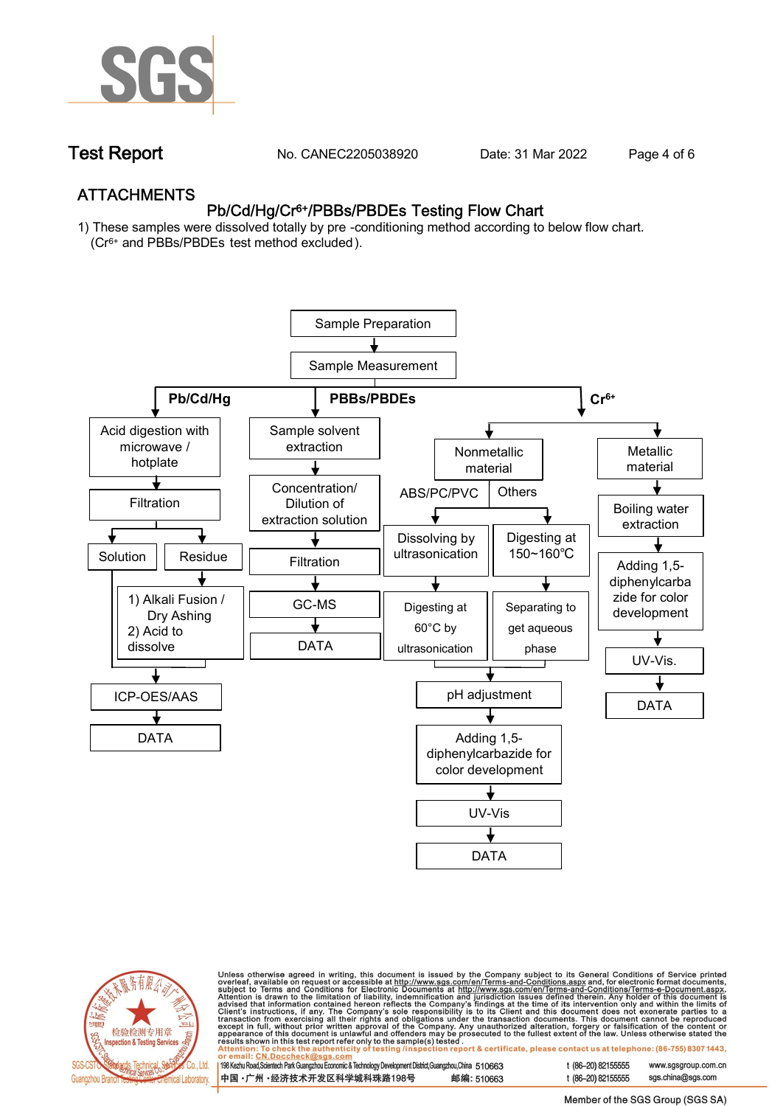

**Test Report. No. CANEC2205038920 . Date: 31 Mar 2022 . Page 4 of 6.**

## **ATTACHMENTS Pb/Cd/Hg/Cr6+/PBBs/PBDEs Testing Flow Chart**

**1) These samples were dissolved totally by pre -conditioning method according to below flow chart. (Cr6+ and PBBs/PBDEs test method excluded ).**





Unless otherwise agreed in writing, this document is issued by the Company subject to its General Conditions of Service printed<br>overleaf, available on request or accessible at http://www.sgs.com/en/Terms-and-Conditions.as

| 198 Kezhu Road,Scientech Park Guangzhou Economic & Technology Development District,Guangzhou,China 510663 |            |
|-----------------------------------------------------------------------------------------------------------|------------|
| 中国 •广州 •经济技术开发区科学城科珠路198号                                                                                 | 邮编: 510663 |

t (86-20) 82155555 sas.china@sas.com

www.sgsgroup.com.cn

t (86-20) 82155555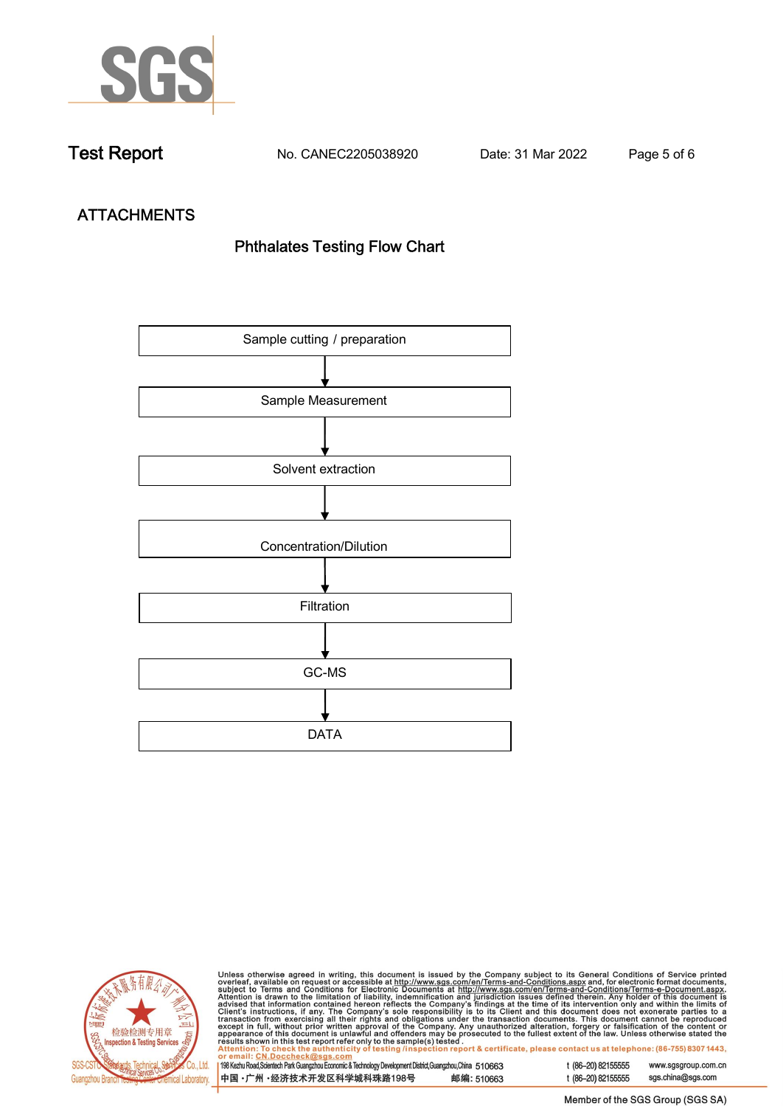

**Test Report. No. CANEC2205038920 . Date: 31 Mar 2022 . Page 5 of 6.**

# **ATTACHMENTS Phthalates Testing Flow Chart**





Unless otherwise agreed in writing, this document is issued by the Company subject to its General Conditions of Service printed<br>overleaf, available on request or accessible at http://www.sgs.com/en/Terms-and-Conditions.as

| <u>Ul ciliali, UN.DUCCIICUNWOYS.CUIII</u>                                                                    |            |
|--------------------------------------------------------------------------------------------------------------|------------|
| 198 Kezhu Road, Scientech Park Guangzhou Economic & Technology Development District, Guangzhou, China 510663 |            |
| 中国 •广州 •经济技术开发区科学城科珠路198号                                                                                    | 邮编: 510663 |

t (86-20) 82155555 sgs.china@sgs.com

www.sgsgroup.com.cn

t (86-20) 82155555